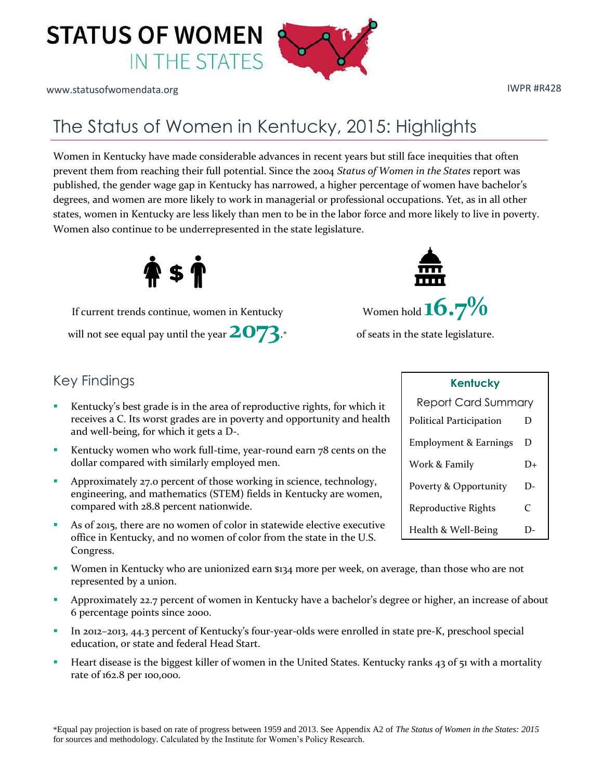

www.statusofwomendata.org in the set of the set of the set of the set of the set of the set of the set of the set of the set of the set of the set of the set of the set of the set of the set of the set of the set of the se

## The Status of Women in Kentucky, 2015: Highlights

Women in Kentucky have made considerable advances in recent years but still face inequities that often prevent them from reaching their full potential. Since the 2004 *Status of Women in the States* report was published, the gender wage gap in Kentucky has narrowed, a higher percentage of women have bachelor's degrees, and women are more likely to work in managerial or professional occupations. Yet, as in all other states, women in Kentucky are less likely than men to be in the labor force and more likely to live in poverty. Women also continue to be underrepresented in the state legislature.



will not see equal pay until the year  $2073$ .\* of seats in the state legislature.

## Key Findings

- Kentucky's best grade is in the area of reproductive rights, for which it receives a C. Its worst grades are in poverty and opportunity and health and well-being, for which it gets a D-.
- Kentucky women who work full-time, year-round earn 78 cents on the dollar compared with similarly employed men.
- Approximately 27.0 percent of those working in science, technology, engineering, and mathematics (STEM) fields in Kentucky are women, compared with 28.8 percent nationwide.
- As of 2015, there are no women of color in statewide elective executive office in Kentucky, and no women of color from the state in the U.S. Congress.
- Women in Kentucky who are unionized earn \$134 more per week, on average, than those who are not represented by a union.
- **Approximately 22.7 percent of women in Kentucky have a bachelor's degree or higher, an increase of about** 6 percentage points since 2000.
- In 2012–2013, 44.3 percent of Kentucky's four-year-olds were enrolled in state pre-K, preschool special education, or state and federal Head Start.
- **Heart disease is the biggest killer of women in the United States. Kentucky ranks 43 of 51 with a mortality** rate of 162.8 per 100,000.



| <b>Kentucky</b>                  |    |  |
|----------------------------------|----|--|
| <b>Report Card Summary</b>       |    |  |
| Political Participation          | D  |  |
| <b>Employment &amp; Earnings</b> | D  |  |
| Work & Family                    | D+ |  |
| Poverty & Opportunity            | D- |  |
| Reproductive Rights              | C  |  |
| Health & Well-Being              |    |  |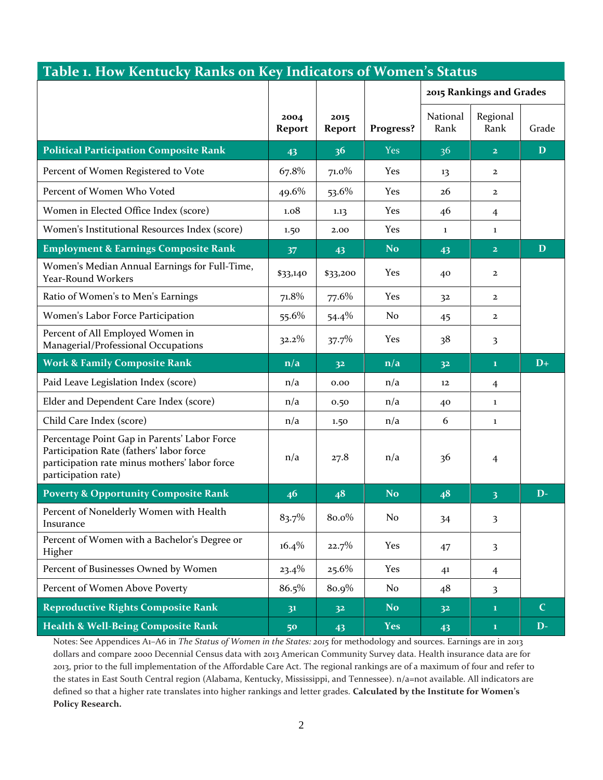| Table 1. How Kentucky Ranks on Key Indicators of Women's Status                                                                                                  |                         |                |                |                          |                         |              |
|------------------------------------------------------------------------------------------------------------------------------------------------------------------|-------------------------|----------------|----------------|--------------------------|-------------------------|--------------|
|                                                                                                                                                                  |                         |                |                | 2015 Rankings and Grades |                         |              |
|                                                                                                                                                                  | 2004<br>Report          | 2015<br>Report | Progress?      | National<br>Rank         | Regional<br>Rank        | Grade        |
| <b>Political Participation Composite Rank</b>                                                                                                                    | 43                      | 36             | <b>Yes</b>     | 36                       | $\overline{2}$          | $\mathbf D$  |
| Percent of Women Registered to Vote                                                                                                                              | 67.8%                   | $71.0\%$       | Yes            | 13                       | $\mathbf{2}$            |              |
| Percent of Women Who Voted                                                                                                                                       | 49.6%                   | 53.6%          | Yes            | 26                       | $\mathbf{2}$            |              |
| Women in Elected Office Index (score)                                                                                                                            | 1.08                    | 1.13           | Yes            | 46                       | 4                       |              |
| Women's Institutional Resources Index (score)                                                                                                                    | 1.50                    | 2.00           | Yes            | $\mathbf{1}$             | $\bf{1}$                |              |
| <b>Employment &amp; Earnings Composite Rank</b>                                                                                                                  | 37                      | 43             | <b>No</b>      | 43                       | $\overline{2}$          | D            |
| Women's Median Annual Earnings for Full-Time,<br>Year-Round Workers                                                                                              | \$33,140                | \$33,200       | Yes            | 40                       | $\mathbf{2}$            |              |
| Ratio of Women's to Men's Earnings                                                                                                                               | 71.8%                   | 77.6%          | Yes            | 32                       | $\mathbf{2}$            |              |
| Women's Labor Force Participation                                                                                                                                | 55.6%                   | 54.4%          | No             | 45                       | $\mathbf{2}$            |              |
| Percent of All Employed Women in<br>Managerial/Professional Occupations                                                                                          | 32.2%                   | 37.7%          | Yes            | 38                       | 3                       |              |
| <b>Work &amp; Family Composite Rank</b>                                                                                                                          | $\mathbf{n}/\mathbf{a}$ | 3 <sup>2</sup> | n/a            | 3 <sup>2</sup>           | $\mathbf{1}$            | $D+$         |
| Paid Leave Legislation Index (score)                                                                                                                             | n/a                     | 0.00           | n/a            | 12                       | $\overline{4}$          |              |
| Elder and Dependent Care Index (score)                                                                                                                           | n/a                     | 0.50           | n/a            | 40                       | $\mathbf{1}$            |              |
| Child Care Index (score)                                                                                                                                         | n/a                     | 1.50           | n/a            | 6                        | $\bf 1$                 |              |
| Percentage Point Gap in Parents' Labor Force<br>Participation Rate (fathers' labor force<br>participation rate minus mothers' labor force<br>participation rate) | n/a                     | 27.8           | n/a            | 36                       | $\overline{4}$          |              |
| <b>Poverty &amp; Opportunity Composite Rank</b>                                                                                                                  | 46                      | 48             | <b>No</b>      | 48                       | 3                       | $\mathbf{D}$ |
| Percent of Nonelderly Women with Health<br>Insurance                                                                                                             | 83.7%                   | 80.0%          | N <sub>o</sub> | 34                       | 3                       |              |
| Percent of Women with a Bachelor's Degree or<br>Higher                                                                                                           | $16.4\%$                | 22.7%          | Yes            | 47                       | $\overline{\mathbf{3}}$ |              |
| Percent of Businesses Owned by Women                                                                                                                             | $23.4\%$                | $25.6\%$       | Yes            | 41                       | $\overline{4}$          |              |
| Percent of Women Above Poverty                                                                                                                                   | 86.5%                   | 80.9%          | No             | 48                       | 3                       |              |
| <b>Reproductive Rights Composite Rank</b>                                                                                                                        | 3 <sup>1</sup>          | 3 <sup>2</sup> | No.            | 3 <sup>2</sup>           | $\mathbf{1}$            | $\mathbf C$  |
| <b>Health &amp; Well-Being Composite Rank</b>                                                                                                                    | 50                      | 43             | <b>Yes</b>     | 43                       | $\mathbf 1$             | $D-$         |

Notes: See Appendices A1–A6 in *The Status of Women in the States: 2015* for methodology and sources. Earnings are in 2013 dollars and compare 2000 Decennial Census data with 2013 American Community Survey data. Health insurance data are for 2013, prior to the full implementation of the Affordable Care Act. The regional rankings are of a maximum of four and refer to the states in East South Central region (Alabama, Kentucky, Mississippi, and Tennessee). n/a=not available. All indicators are defined so that a higher rate translates into higher rankings and letter grades. **Calculated by the Institute for Women's Policy Research.**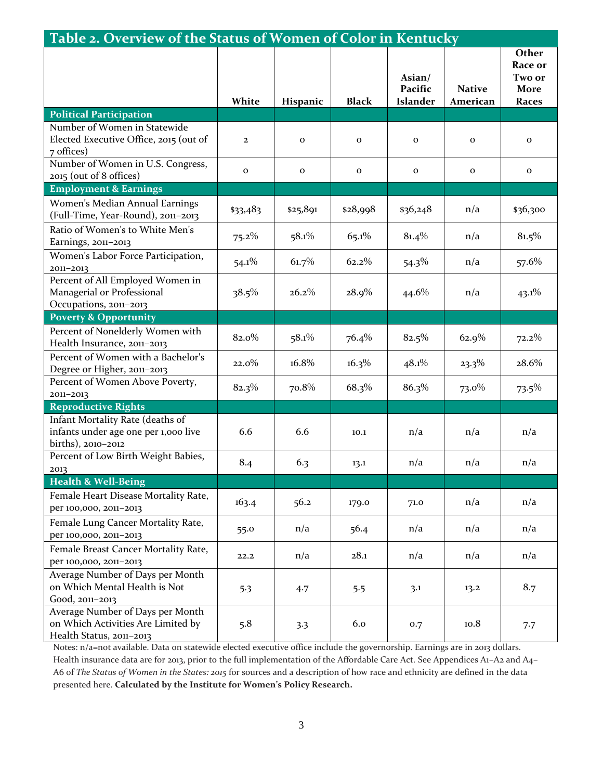| Table 2. Overview of the Status of Women of Color in Kentucky                                      |              |              |              |                                      |                           |                                             |
|----------------------------------------------------------------------------------------------------|--------------|--------------|--------------|--------------------------------------|---------------------------|---------------------------------------------|
|                                                                                                    | White        | Hispanic     | <b>Black</b> | Asian/<br>Pacific<br><b>Islander</b> | <b>Native</b><br>American | Other<br>Race or<br>Two or<br>More<br>Races |
| <b>Political Participation</b>                                                                     |              |              |              |                                      |                           |                                             |
| Number of Women in Statewide<br>Elected Executive Office, 2015 (out of<br>7 offices)               | $\mathbf{2}$ | $\mathbf{O}$ | $\mathbf{o}$ | $\mathbf{o}$                         | $\mathbf 0$               | $\mathbf{o}$                                |
| Number of Women in U.S. Congress,<br>2015 (out of 8 offices)                                       | $\mathbf{o}$ | $\mathbf 0$  | $\mathbf{O}$ | $\mathbf 0$                          | $\mathbf 0$               | $\mathbf O$                                 |
| <b>Employment &amp; Earnings</b>                                                                   |              |              |              |                                      |                           |                                             |
| Women's Median Annual Earnings<br>(Full-Time, Year-Round), 2011-2013                               | \$33,483     | \$25,891     | \$28,998     | \$36,248                             | n/a                       | \$36,300                                    |
| Ratio of Women's to White Men's<br>Earnings, 2011-2013                                             | $75.2\%$     | 58.1%        | 65.1%        | 81.4%                                | n/a                       | 81.5%                                       |
| Women's Labor Force Participation,<br>2011-2013                                                    | $54.1\%$     | 61.7%        | 62.2%        | $54.3\%$                             | n/a                       | 57.6%                                       |
| Percent of All Employed Women in<br>Managerial or Professional<br>Occupations, 2011-2013           | 38.5%        | 26.2%        | $28.9\%$     | 44.6%                                | n/a                       | $43.1\%$                                    |
| <b>Poverty &amp; Opportunity</b>                                                                   |              |              |              |                                      |                           |                                             |
| Percent of Nonelderly Women with<br>Health Insurance, 2011-2013                                    | 82.0%        | 58.1%        | 76.4%        | 82.5%                                | 62.9%                     | $72.2\%$                                    |
| Percent of Women with a Bachelor's<br>Degree or Higher, 2011-2013                                  | $22.0\%$     | 16.8%        | $16.3\%$     | 48.1%                                | $23.3\%$                  | 28.6%                                       |
| Percent of Women Above Poverty,<br>2011-2013                                                       | 82.3%        | 70.8%        | 68.3%        | 86.3%                                | $73.0\%$                  | $73.5\%$                                    |
| <b>Reproductive Rights</b>                                                                         |              |              |              |                                      |                           |                                             |
| Infant Mortality Rate (deaths of<br>infants under age one per 1,000 live<br>births), 2010-2012     | 6.6          | 6.6          | 10.1         | n/a                                  | n/a                       | n/a                                         |
| Percent of Low Birth Weight Babies,<br>2013                                                        | 8.4          | 6.3          | 13.1         | n/a                                  | n/a                       | n/a                                         |
| <b>Health &amp; Well-Being</b>                                                                     |              |              |              |                                      |                           |                                             |
| Female Heart Disease Mortality Rate,<br>per 100,000, 2011-2013                                     | 163.4        | 56.2         | 179.0        | 71.0                                 | n/a                       | n/a                                         |
| Female Lung Cancer Mortality Rate,<br>per 100,000, 2011-2013                                       | 55.0         | n/a          | 56.4         | n/a                                  | n/a                       | n/a                                         |
| Female Breast Cancer Mortality Rate,<br>per 100,000, 2011-2013                                     | 22.2         | n/a          | 28.1         | n/a                                  | n/a                       | n/a                                         |
| Average Number of Days per Month<br>on Which Mental Health is Not<br>Good, 2011-2013               | 5.3          | 4.7          | 5.5          | 3.1                                  | 13.2                      | 8.7                                         |
| Average Number of Days per Month<br>on Which Activities Are Limited by<br>Health Status, 2011-2013 | 5.8          | 3.3          | 6.0          | 0.7                                  | 10.8                      | 7.7                                         |

Notes: n/a=not available. Data on statewide elected executive office include the governorship. Earnings are in 2013 dollars. Health insurance data are for 2013, prior to the full implementation of the Affordable Care Act. See Appendices A1–A2 and A4– A6 of *The Status of Women in the States: 2015* for sources and a description of how race and ethnicity are defined in the data presented here. **Calculated by the Institute for Women's Policy Research.**